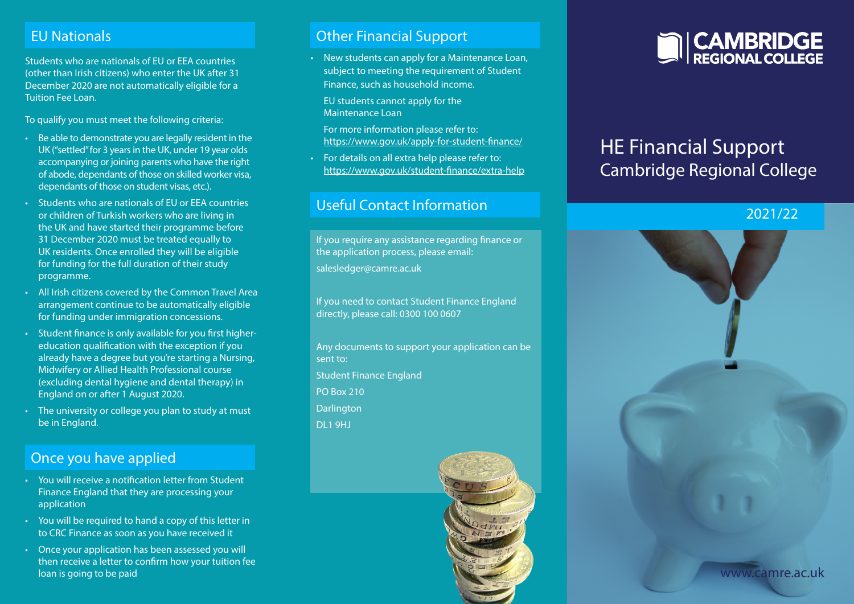#### EU Nationals

Students who are nationals of EU or EEA countries (other than Irish citizens) who enter the UK after 31 December 2020 are not automatically eligible for a Tuition Fee Loan.

To qualify you must meet the following criteria:

- Be able to demonstrate you are legally resident in the UK ("settled" for 3 years in the UK, under 19 year olds accompanying or joining parents who have the right of abode, dependants of those on skilled worker visa, dependants of those on student visas, etc.).
- Students who are nationals of EU or EEA countries or children of Turkish workers who are living in the UK and have started their programme before 31 December 2020 must be treated equally to UK residents. Once enrolled they will be eligible for funding for the full duration of their study programme.
- All Irish citizens covered by the Common Travel Area arrangement continue to be automatically eligible for funding under immigration concessions.
- Student finance is only available for you first highereducation qualification with the exception if you already have a degree but you're starting a Nursing, Midwifery or Allied Health Professional course (excluding dental hygiene and dental therapy) in England on or after 1 August 2020.
- The university or college you plan to study at must be in England.

#### Once you have applied

- You will receive a notification letter from Student Finance England that they are processing your application
- You will be required to hand a copy of this letter in to CRC Finance as soon as you have received it
- Once your application has been assessed you will then receive a letter to confirm how your tuition fee loan is going to be paid

#### Other Financial Support

• New students can apply for a Maintenance Loan, subject to meeting the requirement of Student Finance, such as household income.

EU students cannot apply for the Maintenance Loan

For more information please refer to: https://www.gov.uk/apply-for-student-finance/

• For details on all extra help please refer to: https://www.gov.uk/student-finance/extra-help

#### Useful Contact Information

If you require any assistance regarding finance or the application process, please email: salesledger@camre.ac.uk

If you need to contact Student Finance England directly, please call: 0300 100 0607

Any documents to support your application can be sent to: Student Finance England PO Box 210 **Darlington** DL1 9HJ





# HE Financial Support Cambridge Regional College

#### 2021/22